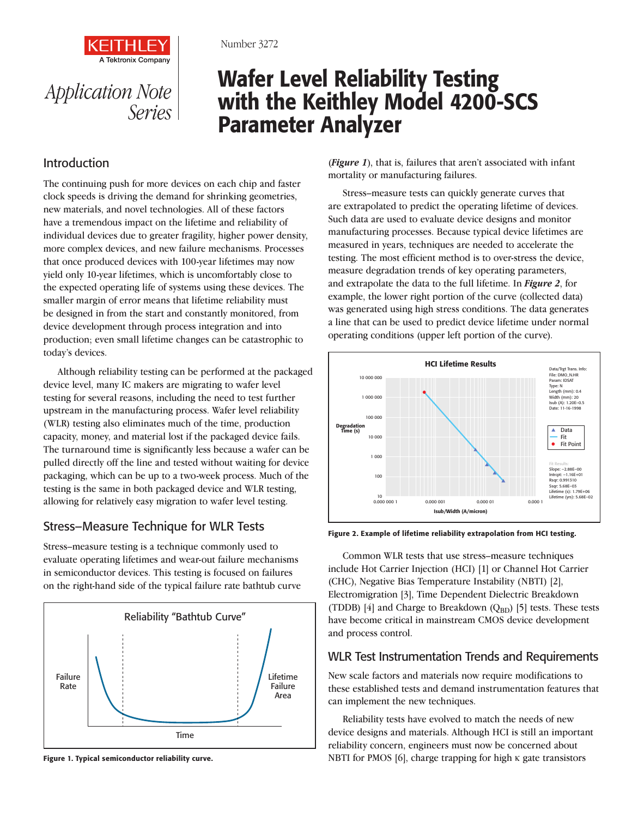

# Wafer Level Reliability Testing with the Keithley Model 4200-SCS Parameter Analyzer

## Introduction

*Application Note* 

*Series*

**Tektronix Company** 

The continuing push for more devices on each chip and faster clock speeds is driving the demand for shrinking geometries, new materials, and novel technologies. All of these factors have a tremendous impact on the lifetime and reliability of individual devices due to greater fragility, higher power density, more complex devices, and new failure mechanisms. Processes that once produced devices with 100-year lifetimes may now yield only 10-year lifetimes, which is uncomfortably close to the expected operating life of systems using these devices. The smaller margin of error means that lifetime reliability must be designed in from the start and constantly monitored, from device development through process integration and into production; even small lifetime changes can be catastrophic to today's devices.

Although reliability testing can be performed at the packaged device level, many IC makers are migrating to wafer level testing for several reasons, including the need to test further upstream in the manufacturing process. Wafer level reliability (WLR) testing also eliminates much of the time, production capacity, money, and material lost if the packaged device fails. The turnaround time is significantly less because a wafer can be pulled directly off the line and tested without waiting for device packaging, which can be up to a two-week process. Much of the testing is the same in both packaged device and WLR testing, allowing for relatively easy migration to wafer level testing.

### Stress–Measure Technique for WLR Tests

Stress–measure testing is a technique commonly used to evaluate operating lifetimes and wear-out failure mechanisms in semiconductor devices. This testing is focused on failures on the right-hand side of the typical failure rate bathtub curve



Figure 1. Typical semiconductor reliability curve.

(*Figure 1*), that is, failures that aren't associated with infant mortality or manufacturing failures.

Stress–measure tests can quickly generate curves that are extrapolated to predict the operating lifetime of devices. Such data are used to evaluate device designs and monitor manufacturing processes. Because typical device lifetimes are measured in years, techniques are needed to accelerate the testing. The most efficient method is to over-stress the device, measure degradation trends of key operating parameters, and extrapolate the data to the full lifetime. In *Figure 2*, for example, the lower right portion of the curve (collected data) was generated using high stress conditions. The data generates a line that can be used to predict device lifetime under normal operating conditions (upper left portion of the curve).



Figure 2. Example of lifetime reliability extrapolation from HCI testing.

Common WLR tests that use stress–measure techniques include Hot Carrier Injection (HCI) [1] or Channel Hot Carrier (CHC), Negative Bias Temperature Instability (NBTI) [2], Electromigration [3], Time Dependent Dielectric Breakdown (TDDB) [4] and Charge to Breakdown  $(Q_{BD})$  [5] tests. These tests have become critical in mainstream CMOS device development and process control.

#### WLR Test Instrumentation Trends and Requirements

New scale factors and materials now require modifications to these established tests and demand instrumentation features that can implement the new techniques.

Reliability tests have evolved to match the needs of new device designs and materials. Although HCI is still an important reliability concern, engineers must now be concerned about NBTI for PMOS [6], charge trapping for high κ gate transistors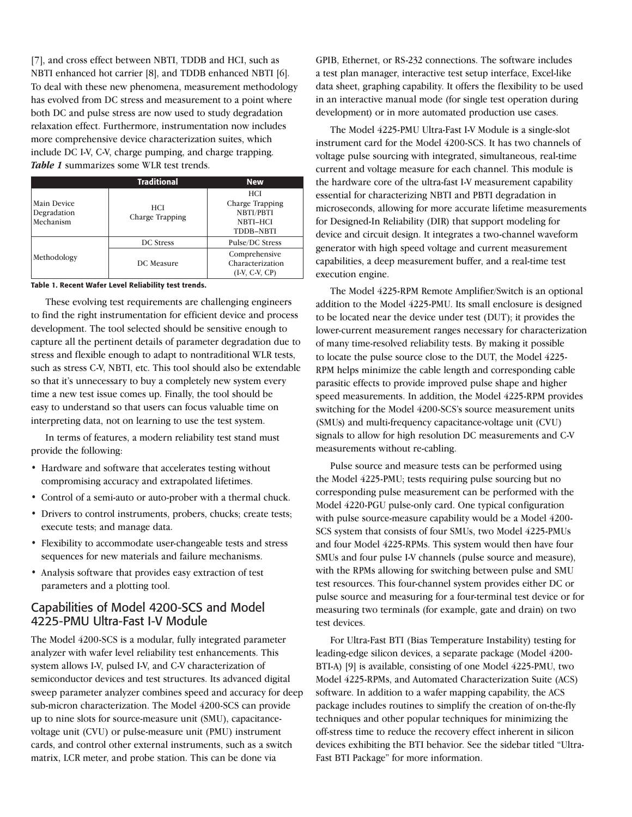[7], and cross effect between NBTI, TDDB and HCI, such as NBTI enhanced hot carrier [8], and TDDB enhanced NBTI [6]. To deal with these new phenomena, measurement methodology has evolved from DC stress and measurement to a point where both DC and pulse stress are now used to study degradation relaxation effect. Furthermore, instrumentation now includes more comprehensive device characterization suites, which include DC I-V, C-V, charge pumping, and charge trapping. *Table 1* summarizes some WLR test trends.

|                                         | <b>Traditional</b>            | <b>New</b>                                                                 |
|-----------------------------------------|-------------------------------|----------------------------------------------------------------------------|
| Main Device<br>Degradation<br>Mechanism | <b>HCI</b><br>Charge Trapping | <b>HCI</b><br>Charge Trapping<br>NBTI/PBTI<br>NBTI-HCI<br><b>TDDB-NBTI</b> |
|                                         | <b>DC</b> Stress              | Pulse/DC Stress                                                            |
| Methodology                             | DC Measure                    | Comprehensive<br>Characterization<br>$(I-V, C-V, CP)$                      |

Table 1. Recent Wafer Level Reliability test trends.

These evolving test requirements are challenging engineers to find the right instrumentation for efficient device and process development. The tool selected should be sensitive enough to capture all the pertinent details of parameter degradation due to stress and flexible enough to adapt to nontraditional WLR tests, such as stress C-V, NBTI, etc. This tool should also be extendable so that it's unnecessary to buy a completely new system every time a new test issue comes up. Finally, the tool should be easy to understand so that users can focus valuable time on interpreting data, not on learning to use the test system.

In terms of features, a modern reliability test stand must provide the following:

- Hardware and software that accelerates testing without compromising accuracy and extrapolated lifetimes.
- Control of a semi-auto or auto-prober with a thermal chuck.
- Drivers to control instruments, probers, chucks; create tests; execute tests; and manage data.
- Flexibility to accommodate user-changeable tests and stress sequences for new materials and failure mechanisms.
- Analysis software that provides easy extraction of test parameters and a plotting tool.

### Capabilities of Model 4200-SCS and Model 4225-PMU Ultra-Fast I-V Module

The Model 4200-SCS is a modular, fully integrated parameter analyzer with wafer level reliability test enhancements. This system allows I-V, pulsed I-V, and C-V characterization of semiconductor devices and test structures. Its advanced digital sweep parameter analyzer combines speed and accuracy for deep sub-micron characterization. The Model 4200-SCS can provide up to nine slots for source-measure unit (SMU), capacitancevoltage unit (CVU) or pulse-measure unit (PMU) instrument cards, and control other external instruments, such as a switch matrix, LCR meter, and probe station. This can be done via

GPIB, Ethernet, or RS-232 connections. The software includes a test plan manager, interactive test setup interface, Excel-like data sheet, graphing capability. It offers the flexibility to be used in an interactive manual mode (for single test operation during development) or in more automated production use cases.

The Model 4225-PMU Ultra-Fast I-V Module is a single-slot instrument card for the Model 4200-SCS. It has two channels of voltage pulse sourcing with integrated, simultaneous, real-time current and voltage measure for each channel. This module is the hardware core of the ultra-fast I-V measurement capability essential for characterizing NBTI and PBTI degradation in microseconds, allowing for more accurate lifetime measurements for Designed-In Reliability (DIR) that support modeling for device and circuit design. It integrates a two-channel waveform generator with high speed voltage and current measurement capabilities, a deep measurement buffer, and a real-time test execution engine.

The Model 4225-RPM Remote Amplifier/Switch is an optional addition to the Model 4225-PMU. Its small enclosure is designed to be located near the device under test (DUT); it provides the lower-current measurement ranges necessary for characterization of many time-resolved reliability tests. By making it possible to locate the pulse source close to the DUT, the Model 4225- RPM helps minimize the cable length and corresponding cable parasitic effects to provide improved pulse shape and higher speed measurements. In addition, the Model 4225-RPM provides switching for the Model 4200-SCS's source measurement units (SMUs) and multi-frequency capacitance-voltage unit (CVU) signals to allow for high resolution DC measurements and C-V measurements without re-cabling.

Pulse source and measure tests can be performed using the Model 4225-PMU; tests requiring pulse sourcing but no corresponding pulse measurement can be performed with the Model 4220-PGU pulse-only card. One typical configuration with pulse source-measure capability would be a Model 4200- SCS system that consists of four SMUs, two Model 4225-PMUs and four Model 4225-RPMs. This system would then have four SMUs and four pulse I-V channels (pulse source and measure), with the RPMs allowing for switching between pulse and SMU test resources. This four-channel system provides either DC or pulse source and measuring for a four-terminal test device or for measuring two terminals (for example, gate and drain) on two test devices.

For Ultra-Fast BTI (Bias Temperature Instability) testing for leading-edge silicon devices, a separate package (Model 4200- BTI-A) [9] is available, consisting of one Model 4225-PMU, two Model 4225-RPMs, and Automated Characterization Suite (ACS) software. In addition to a wafer mapping capability, the ACS package includes routines to simplify the creation of on-the-fly techniques and other popular techniques for minimizing the off-stress time to reduce the recovery effect inherent in silicon devices exhibiting the BTI behavior. See the sidebar titled "Ultra-Fast BTI Package" for more information.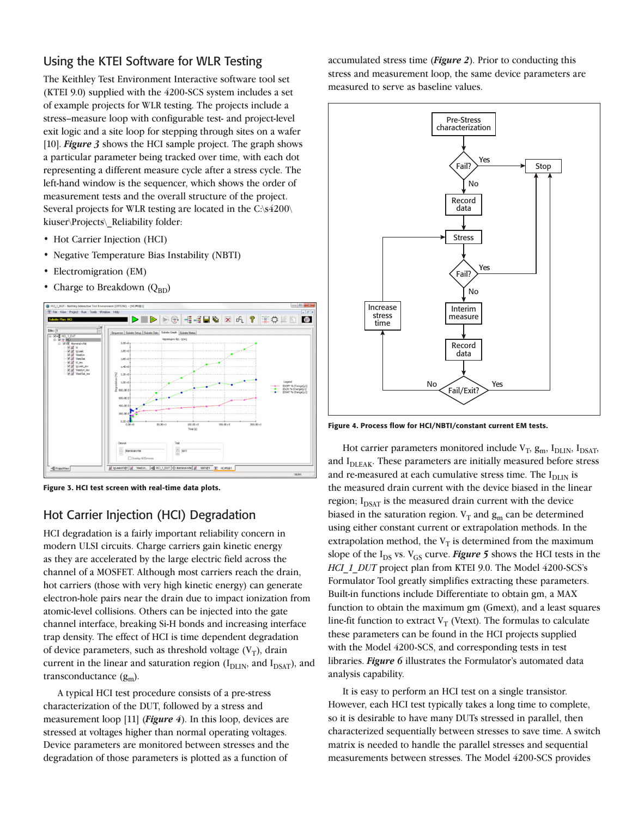### Using the KTEI Software for WLR Testing

The Keithley Test Environment Interactive software tool set (KTEI 9.0) supplied with the 4200-SCS system includes a set of example projects for WLR testing. The projects include a stress–measure loop with configurable test- and project-level exit logic and a site loop for stepping through sites on a wafer [10]. *Figure 3* shows the HCI sample project. The graph shows a particular parameter being tracked over time, with each dot representing a different measure cycle after a stress cycle. The left-hand window is the sequencer, which shows the order of measurement tests and the overall structure of the project. Several projects for WLR testing are located in the C:\s4200\ kiuser\Projects\\_Reliability folder:

- Hot Carrier Injection (HCI)
- Negative Temperature Bias Instability (NBTI)
- Electromigration (EM)
- Charge to Breakdown  $(Q_{BD})$



Figure 3. HCI test screen with real-time data plots.

# Hot Carrier Injection (HCI) Degradation

HCI degradation is a fairly important reliability concern in modern ULSI circuits. Charge carriers gain kinetic energy as they are accelerated by the large electric field across the channel of a MOSFET. Although most carriers reach the drain, hot carriers (those with very high kinetic energy) can generate electron-hole pairs near the drain due to impact ionization from atomic-level collisions. Others can be injected into the gate channel interface, breaking Si-H bonds and increasing interface trap density. The effect of HCI is time dependent degradation of device parameters, such as threshold voltage  $(V_T)$ , drain current in the linear and saturation region  $(I_{\text{DLIN}})$ , and  $I_{\text{DSAT}}$ ), and transconductance  $(g_m)$ .

A typical HCI test procedure consists of a pre-stress characterization of the DUT, followed by a stress and measurement loop [11] (*Figure 4*). In this loop, devices are stressed at voltages higher than normal operating voltages. Device parameters are monitored between stresses and the degradation of those parameters is plotted as a function of

accumulated stress time (*Figure 2*). Prior to conducting this stress and measurement loop, the same device parameters are measured to serve as baseline values.



Figure 4. Process flow for HCI/NBTI/constant current EM tests.

Hot carrier parameters monitored include  $V_T$ ,  $g_m$ ,  $I_{DLIN}$ ,  $I_{DSAT}$ , and I<sub>DLEAK</sub>. These parameters are initially measured before stress and re-measured at each cumulative stress time. The  $I<sub>DLIN</sub>$  is the measured drain current with the device biased in the linear region;  $I_{DSAT}$  is the measured drain current with the device biased in the saturation region.  $V_T$  and  $g_m$  can be determined using either constant current or extrapolation methods. In the extrapolation method, the  $V_T$  is determined from the maximum slope of the  $I_{DS}$  vs.  $V_{GS}$  curve. *Figure* 5 shows the HCI tests in the *HCI\_1\_DUT* project plan from KTEI 9.0. The Model 4200-SCS's Formulator Tool greatly simplifies extracting these parameters. Built-in functions include Differentiate to obtain gm, a MAX function to obtain the maximum gm (Gmext), and a least squares line-fit function to extract  $V_T$  (Vtext). The formulas to calculate these parameters can be found in the HCI projects supplied with the Model 4200-SCS, and corresponding tests in test libraries. *Figure 6* illustrates the Formulator's automated data analysis capability.

It is easy to perform an HCI test on a single transistor. However, each HCI test typically takes a long time to complete, so it is desirable to have many DUTs stressed in parallel, then characterized sequentially between stresses to save time. A switch matrix is needed to handle the parallel stresses and sequential measurements between stresses. The Model 4200-SCS provides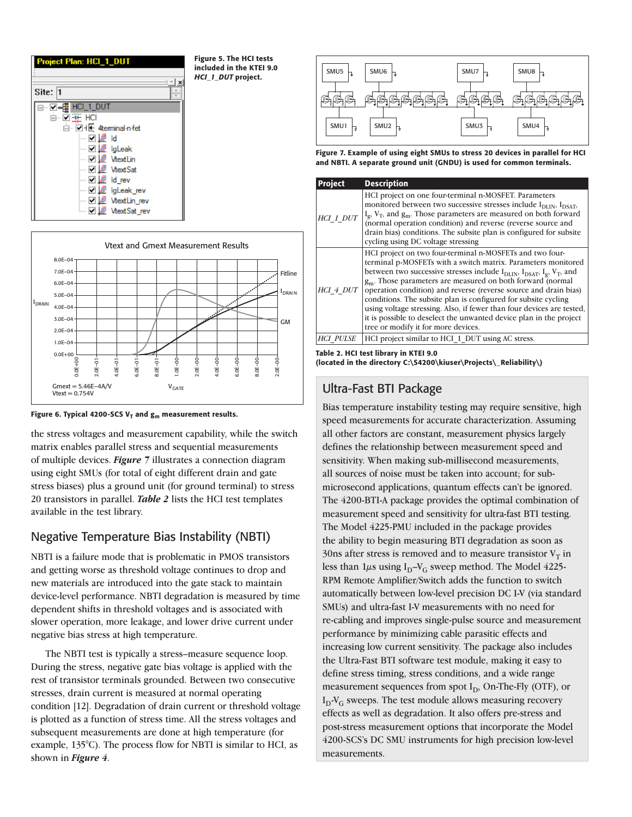



Figure 6. Typical 4200-SCS V<sub>T</sub> and  $g_m$  measurement results.

the stress voltages and measurement capability, while the switch matrix enables parallel stress and sequential measurements of multiple devices. *Figure 7* illustrates a connection diagram using eight SMUs (for total of eight different drain and gate stress biases) plus a ground unit (for ground terminal) to stress 20 transistors in parallel. *Table 2* lists the HCI test templates available in the test library.

# Negative Temperature Bias Instability (NBTI)

NBTI is a failure mode that is problematic in PMOS transistors and getting worse as threshold voltage continues to drop and new materials are introduced into the gate stack to maintain device-level performance. NBTI degradation is measured by time dependent shifts in threshold voltages and is associated with slower operation, more leakage, and lower drive current under negative bias stress at high temperature.

The NBTI test is typically a stress–measure sequence loop. During the stress, negative gate bias voltage is applied with the rest of transistor terminals grounded. Between two consecutive stresses, drain current is measured at normal operating condition [12]. Degradation of drain current or threshold voltage is plotted as a function of stress time. All the stress voltages and subsequent measurements are done at high temperature (for example, 135°C). The process flow for NBTI is similar to HCI, as shown in *Figure 4*.



Figure 7. Example of using eight SMUs to stress 20 devices in parallel for HCI and NBTI. A separate ground unit (GNDU) is used for common terminals.

| <b>Project</b> | <b>Description</b>                                                                                                                                                                                                                                                                                                                                                                                                                                                                                                                                                                                                       |
|----------------|--------------------------------------------------------------------------------------------------------------------------------------------------------------------------------------------------------------------------------------------------------------------------------------------------------------------------------------------------------------------------------------------------------------------------------------------------------------------------------------------------------------------------------------------------------------------------------------------------------------------------|
| HCI 1 DUT      | HCI project on one four-terminal n-MOSFET. Parameters<br>monitored between two successive stresses include $I_{\text{DIIN}}$ , $I_{\text{DSAT}}$ ,<br>$I_g$ , $V_T$ , and $g_m$ . Those parameters are measured on both forward (normal operation condition) and reverse (reverse source and<br>drain bias) conditions. The subsite plan is configured for subsite<br>cycling using DC voltage stressing                                                                                                                                                                                                                 |
| HCI 4 DUT      | HCI project on two four-terminal n-MOSFETs and two four-<br>terminal p-MOSFETs with a switch matrix. Parameters monitored<br>between two successive stresses include $I_{DLIN}$ , $I_{DSAT}$ , $I_g$ , $V_T$ , and<br>g <sub>m</sub> . Those parameters are measured on both forward (normal<br>operation condition) and reverse (reverse source and drain bias)<br>conditions. The subsite plan is configured for subsite cycling<br>using voltage stressing. Also, if fewer than four devices are tested,<br>it is possible to deselect the unwanted device plan in the project<br>tree or modify it for more devices. |
| HCI PULSE      | HCI project similar to HCI_1_DUT using AC stress.                                                                                                                                                                                                                                                                                                                                                                                                                                                                                                                                                                        |

Table 2. HCI test library in KTEI 9.0

(located in the directory C:\S4200\kiuser\Projects\\_Reliability\)

# Ultra-Fast BTI Package

Bias temperature instability testing may require sensitive, high speed measurements for accurate characterization. Assuming all other factors are constant, measurement physics largely defines the relationship between measurement speed and sensitivity. When making sub-millisecond measurements, all sources of noise must be taken into account; for submicrosecond applications, quantum effects can't be ignored. The 4200-BTI-A package provides the optimal combination of measurement speed and sensitivity for ultra-fast BTI testing. The Model 4225-PMU included in the package provides the ability to begin measuring BTI degradation as soon as 30ns after stress is removed and to measure transistor  $V_T$  in less than  $1\mu s$  using  $I_D-V_G$  sweep method. The Model 4225-RPM Remote Amplifier/Switch adds the function to switch automatically between low-level precision DC I-V (via standard SMUs) and ultra-fast I-V measurements with no need for re-cabling and improves single-pulse source and measurement performance by minimizing cable parasitic effects and increasing low current sensitivity. The package also includes the Ultra-Fast BTI software test module, making it easy to define stress timing, stress conditions, and a wide range measurement sequences from spot  $I_D$ , On-The-Fly (OTF), or  $I_D-V_G$  sweeps. The test module allows measuring recovery effects as well as degradation. It also offers pre-stress and post-stress measurement options that incorporate the Model 4200-SCS's DC SMU instruments for high precision low-level measurements.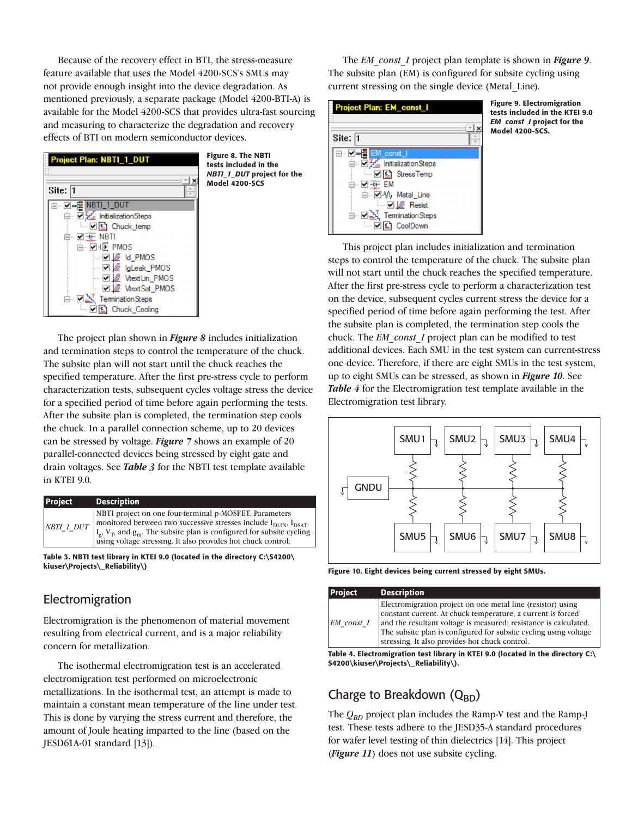Because of the recovery effect in BTI, the stress-measure feature available that uses the Model 4200-SCS's SMUs may not provide enough insight into the device degradation. As mentioned previously, a separate package (Model 4200-BTI-A) is available for the Model 4200-SCS that provides ultra-fast sourcing and measuring to characterize the degradation and recovery effects of BTI on modern semiconductor devices.



The project plan shown in *Figure 8* includes initialization and termination steps to control the temperature of the chuck. The subsite plan will not start until the chuck reaches the specified temperature. After the first pre-stress cycle to perform characterization tests, subsequent cycles voltage stress the device for a specified period of time before again performing the tests. After the subsite plan is completed, the termination step cools the chuck. In a parallel connection scheme, up to 20 devices can be stressed by voltage. *Figure 7* shows an example of 20 parallel-connected devices being stressed by eight gate and drain voltages. See *Table 3* for the NBTI test template available in KTEI 9.0.

| <b>Project</b> | <b>Description</b>                                                                                                                                                                                                                                                                                                                |
|----------------|-----------------------------------------------------------------------------------------------------------------------------------------------------------------------------------------------------------------------------------------------------------------------------------------------------------------------------------|
| $NBTI\_1\_DUT$ | NBTI project on one four-terminal p-MOSFET. Parameters<br>monitored between two successive stresses include I <sub>DLIN</sub> , I <sub>DSAT</sub> ,<br>$\left \frac{I_g}{I_g}, V_T, \text{ and } g_m\right $ . The subsite plan is configured for subsite cycling<br>using voltage stressing. It also provides hot chuck control. |

Table 3. NBTI test library in KTEI 9.0 (located in the directory C:\S4200\ kiuser\Projects\\_Reliability\)

### **Electromigration**

Electromigration is the phenomenon of material movement resulting from electrical current, and is a major reliability concern for metallization.

The isothermal electromigration test is an accelerated electromigration test performed on microelectronic metallizations. In the isothermal test, an attempt is made to maintain a constant mean temperature of the line under test. This is done by varying the stress current and therefore, the amount of Joule heating imparted to the line (based on the JESD61A-01 standard [13]).

The *EM\_const\_I* project plan template is shown in *Figure 9*. The subsite plan (EM) is configured for subsite cycling using current stressing on the single device (Metal\_Line).



Figure 9. Electromigration tests included in the KTEI 9.0 *EM\_const\_I* project for the Model 4200-SCS.

This project plan includes initialization and termination steps to control the temperature of the chuck. The subsite plan will not start until the chuck reaches the specified temperature. After the first pre-stress cycle to perform a characterization test on the device, subsequent cycles current stress the device for a specified period of time before again performing the test. After the subsite plan is completed, the termination step cools the chuck. The *EM\_const\_I* project plan can be modified to test additional devices. Each SMU in the test system can current-stress one device. Therefore, if there are eight SMUs in the test system, up to eight SMUs can be stressed, as shown in *Figure 10*. See *Table 4* for the Electromigration test template available in the Electromigration test library.



Figure 10. Eight devices being current stressed by eight SMUs.

| <b>Project</b> | <b>Description</b>                                                                                                                                                                                                                                                                                                   |
|----------------|----------------------------------------------------------------------------------------------------------------------------------------------------------------------------------------------------------------------------------------------------------------------------------------------------------------------|
| EM const I     | Electromigration project on one metal line (resistor) using<br>constant current. At chuck temperature, a current is forced<br>and the resultant voltage is measured; resistance is calculated.<br>The subsite plan is configured for subsite cycling using voltage<br>stressing. It also provides hot chuck control. |

Table 4. Electromigration test library in KTEI 9.0 (located in the directory C:\ S4200\kiuser\Projects\\_Reliability\).

# Charge to Breakdown  $(Q_{BD})$

The  $Q_{BD}$  project plan includes the Ramp-V test and the Ramp-J test. These tests adhere to the JESD35-A standard procedures for wafer level testing of thin dielectrics [14]. This project (*Figure 11*) does not use subsite cycling.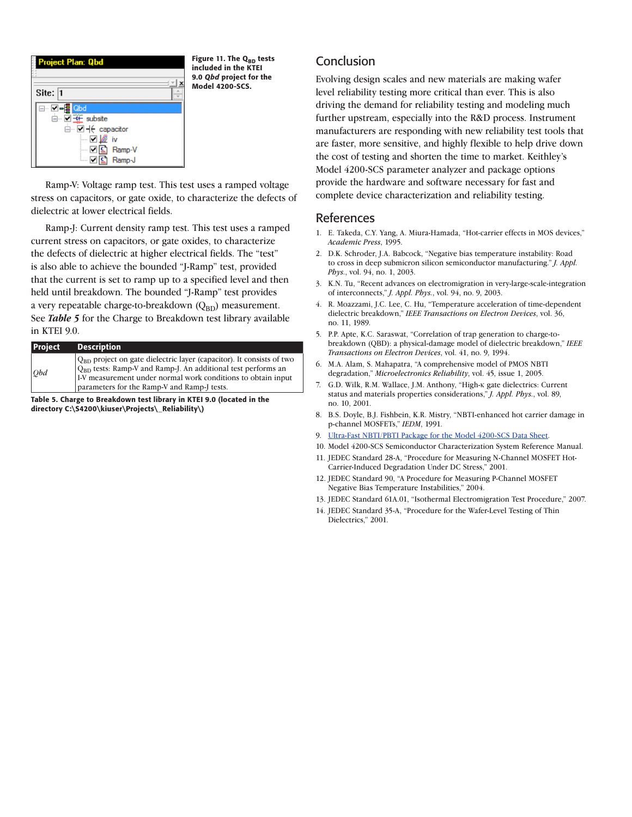

Figure 11. The  $Q_{BD}$  tests included in the KTEI 9.0 *Qbd* project for the Model 4200-SCS.

Ramp-V: Voltage ramp test. This test uses a ramped voltage stress on capacitors, or gate oxide, to characterize the defects of dielectric at lower electrical fields.

Ramp-J: Current density ramp test. This test uses a ramped current stress on capacitors, or gate oxides, to characterize the defects of dielectric at higher electrical fields. The "test" is also able to achieve the bounded "J-Ramp" test, provided that the current is set to ramp up to a specified level and then held until breakdown. The bounded "J-Ramp" test provides a very repeatable charge-to-breakdown  $(Q_{BD})$  measurement. See *Table 5* for the Charge to Breakdown test library available in KTEI 9.0.

| <b>Project</b> | <b>Description</b>                                                                                                                                                                                                                                         |
|----------------|------------------------------------------------------------------------------------------------------------------------------------------------------------------------------------------------------------------------------------------------------------|
| Qbd            | $Q_{BD}$ project on gate dielectric layer (capacitor). It consists of two $Q_{BD}$ tests: Ramp-V and Ramp-J. An additional test performs an<br>I-V measurement under normal work conditions to obtain input<br>parameters for the Ramp-V and Ramp-J tests. |

Table 5. Charge to Breakdown test library in KTEI 9.0 (located in the directory C:\S4200\kiuser\Projects\\_Reliability\)

# **Conclusion**

Evolving design scales and new materials are making wafer level reliability testing more critical than ever. This is also driving the demand for reliability testing and modeling much further upstream, especially into the R&D process. Instrument manufacturers are responding with new reliability test tools that are faster, more sensitive, and highly flexible to help drive down the cost of testing and shorten the time to market. Keithley's Model 4200-SCS parameter analyzer and package options provide the hardware and software necessary for fast and complete device characterization and reliability testing.

### References

- 1. E. Takeda, C.Y. Yang, A. Miura-Hamada, "Hot-carrier effects in MOS devices," *Academic Press*, 1995.
- 2. D.K. Schroder, J.A. Babcock, "Negative bias temperature instability: Road to cross in deep submicron silicon semiconductor manufacturing." *J. Appl. Phys.*, vol. 94, no. 1, 2003.
- 3. K.N. Tu, "Recent advances on electromigration in very-large-scale-integration of interconnects," *J. Appl. Phys.*, vol. 94, no. 9, 2003.
- 4. R. Moazzami, J.C. Lee, C. Hu, "Temperature acceleration of time-dependent dielectric breakdown," *IEEE Transactions on Electron Devices*, vol. 36, no. 11, 1989.
- 5. P.P. Apte, K.C. Saraswat, "Correlation of trap generation to charge-tobreakdown (QBD): a physical-damage model of dielectric breakdown," *IEEE Transactions on Electron Devices*, vol. 41, no. 9, 1994.
- 6. M.A. Alam, S. Mahapatra, "A comprehensive model of PMOS NBTI degradation," *Microelectronics Reliability*, vol. 45, issue 1, 2005.
- 7. G.D. Wilk, R.M. Wallace, J.M. Anthony, "High-κ gate dielectrics: Current status and materials properties considerations," *J. Appl. Phys.*, vol. 89, no. 10, 2001.
- 8. B.S. Doyle, B.J. Fishbein, K.R. Mistry, "NBTI-enhanced hot carrier damage in p-channel MOSFETs," *IEDM*, 1991.
- 9. Ultra-Fast NBTI/PBTI Package for the Model 4200-SCS Data Sheet.
- 10. Model 4200-SCS Semiconductor Characterization System Reference Manual.
- 11. JEDEC Standard 28-A, "Procedure for Measuring N-Channel MOSFET Hot-Carrier-Induced Degradation Under DC Stress," 2001.
- 12. JEDEC Standard 90, "A Procedure for Measuring P-Channel MOSFET Negative Bias Temperature Instabilities," 2004.
- 13. JEDEC Standard 61A.01, "Isothermal Electromigration Test Procedure," 2007.
- 14. JEDEC Standard 35-A, "Procedure for the Wafer-Level Testing of Thin Dielectrics," 2001.